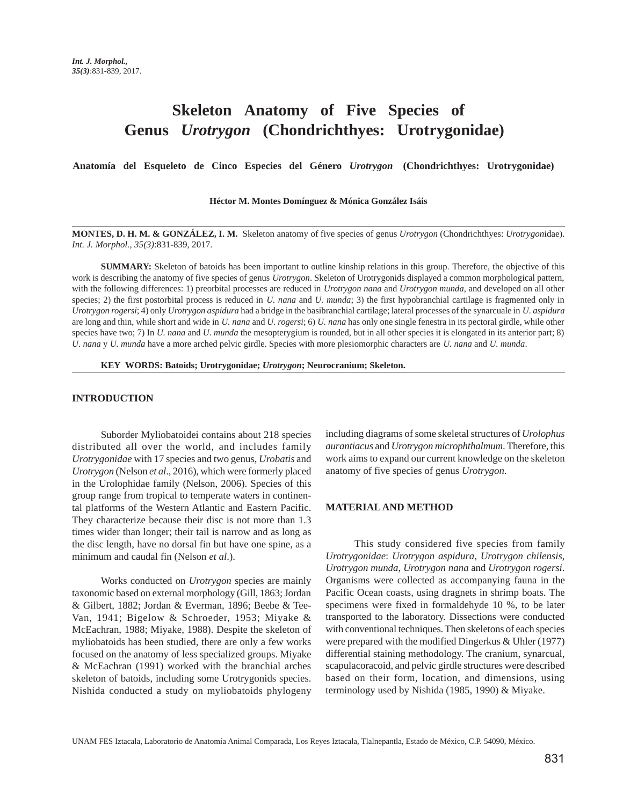# **Skeleton Anatomy of Five Species of Genus** *Urotrygon* **(Chondrichthyes: Urotrygonidae)**

**Anatomía del Esqueleto de Cinco Especies del Género** *Urotrygon* **(Chondrichthyes: Urotrygonidae)**

**Héctor M. Montes Domínguez & Mónica González Isáis**

**MONTES, D. H. M. & GONZÁLEZ, I. M.** Skeleton anatomy of five species of genus *Urotrygon* (Chondrichthyes: *Urotrygon*idae). *Int. J. Morphol., 35(3)*:831-839, 2017.

**SUMMARY:** Skeleton of batoids has been important to outline kinship relations in this group. Therefore, the objective of this work is describing the anatomy of five species of genus *Urotrygon*. Skeleton of Urotrygonids displayed a common morphological pattern, with the following differences: 1) preorbital processes are reduced in *Urotrygon nana* and *Urotrygon munda*, and developed on all other species; 2) the first postorbital process is reduced in *U. nana* and *U. munda*; 3) the first hypobranchial cartilage is fragmented only in *Urotrygon rogersi*; 4) only *Urotrygon aspidura* had a bridge in the basibranchial cartilage; lateral processes of the synarcuale in *U. aspidura* are long and thin, while short and wide in *U. nana* and *U. rogersi*; 6) *U. nana* has only one single fenestra in its pectoral girdle, while other species have two; 7) In *U. nana* and *U. munda* the mesopterygium is rounded, but in all other species it is elongated in its anterior part; 8) *U. nana* y *U. munda* have a more arched pelvic girdle. Species with more plesiomorphic characters are *U. nana* and *U. munda*.

**KEY WORDS: Batoids; Urotrygonidae;** *Urotrygon***; Neurocranium; Skeleton.**

## **INTRODUCTION**

Suborder Myliobatoidei contains about 218 species distributed all over the world, and includes family *Urotrygonidae* with 17 species and two genus, *Urobatis* and *Urotrygon* (Nelson *et al*., 2016), which were formerly placed in the Urolophidae family (Nelson, 2006). Species of this group range from tropical to temperate waters in continental platforms of the Western Atlantic and Eastern Pacific. They characterize because their disc is not more than 1.3 times wider than longer; their tail is narrow and as long as the disc length, have no dorsal fin but have one spine, as a minimum and caudal fin (Nelson *et al*.).

Works conducted on *Urotrygon* species are mainly taxonomic based on external morphology (Gill, 1863; Jordan & Gilbert, 1882; Jordan & Everman, 1896; Beebe & Tee-Van, 1941; Bigelow & Schroeder, 1953; Miyake & McEachran, 1988; Miyake, 1988). Despite the skeleton of myliobatoids has been studied, there are only a few works focused on the anatomy of less specialized groups. Miyake & McEachran (1991) worked with the branchial arches skeleton of batoids, including some Urotrygonids species. Nishida conducted a study on myliobatoids phylogeny

including diagrams of some skeletal structures of *Urolophus aurantiacus* and *Urotrygon microphthalmum*. Therefore, this work aims to expand our current knowledge on the skeleton anatomy of five species of genus *Urotrygon*.

## **MATERIAL AND METHOD**

This study considered five species from family *Urotrygonidae*: *Urotrygon aspidura*, *Urotrygon chilensis*, *Urotrygon munda*, *Urotrygon nana* and *Urotrygon rogersi*. Organisms were collected as accompanying fauna in the Pacific Ocean coasts, using dragnets in shrimp boats. The specimens were fixed in formaldehyde 10 %, to be later transported to the laboratory. Dissections were conducted with conventional techniques. Then skeletons of each species were prepared with the modified Dingerkus & Uhler (1977) differential staining methodology. The cranium, synarcual, scapulacoracoid, and pelvic girdle structures were described based on their form, location, and dimensions, using terminology used by Nishida (1985, 1990) & Miyake.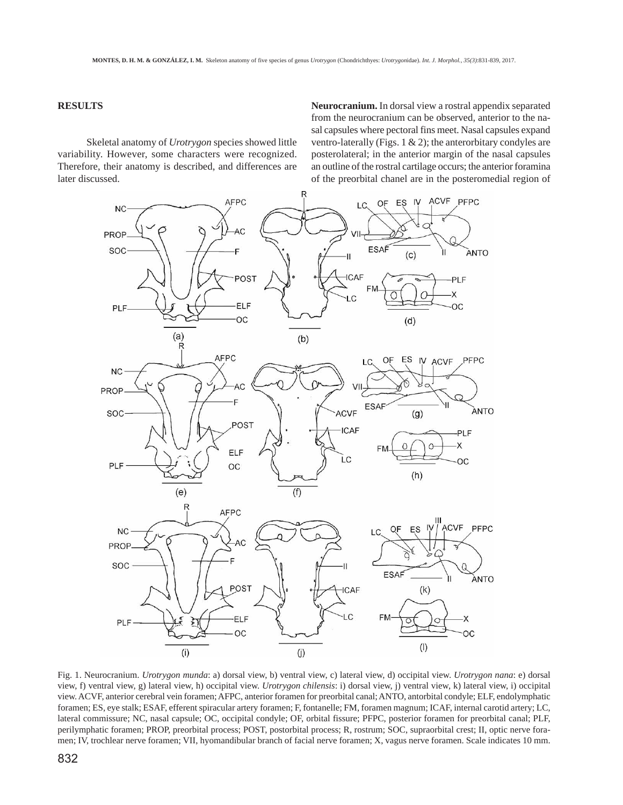# **RESULTS**

Skeletal anatomy of *Urotrygon* species showed little variability. However, some characters were recognized. Therefore, their anatomy is described, and differences are later discussed.

**Neurocranium.** In dorsal view a rostral appendix separated from the neurocranium can be observed, anterior to the nasal capsules where pectoral fins meet. Nasal capsules expand ventro-laterally (Figs. 1  $\&$  2); the anterorbitary condyles are posterolateral; in the anterior margin of the nasal capsules an outline of the rostral cartilage occurs; the anterior foramina of the preorbital chanel are in the posteromedial region of



Fig. 1. Neurocranium. *Urotrygon munda*: a) dorsal view, b) ventral view, c) lateral view, d) occipital view. *Urotrygon nana*: e) dorsal view, f) ventral view, g) lateral view, h) occipital view. *Urotrygon chilensis*: i) dorsal view, j) ventral view, k) lateral view, i) occipital view. ACVF, anterior cerebral vein foramen; AFPC, anterior foramen for preorbital canal; ANTO, antorbital condyle; ELF, endolymphatic foramen; ES, eye stalk; ESAF, efferent spiracular artery foramen; F, fontanelle; FM, foramen magnum; ICAF, internal carotid artery; LC, lateral commissure; NC, nasal capsule; OC, occipital condyle; OF, orbital fissure; PFPC, posterior foramen for preorbital canal; PLF, perilymphatic foramen; PROP, preorbital process; POST, postorbital process; R, rostrum; SOC, supraorbital crest; II, optic nerve foramen; IV, trochlear nerve foramen; VII, hyomandibular branch of facial nerve foramen; X, vagus nerve foramen. Scale indicates 10 mm.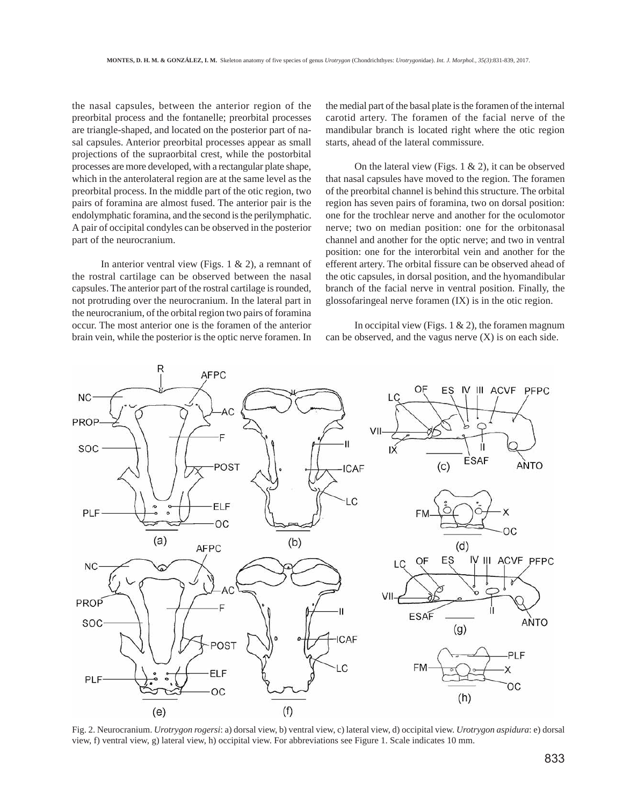the nasal capsules, between the anterior region of the preorbital process and the fontanelle; preorbital processes are triangle-shaped, and located on the posterior part of nasal capsules. Anterior preorbital processes appear as small projections of the supraorbital crest, while the postorbital processes are more developed, with a rectangular plate shape, which in the anterolateral region are at the same level as the preorbital process. In the middle part of the otic region, two pairs of foramina are almost fused. The anterior pair is the endolymphatic foramina, and the second is the perilymphatic. A pair of occipital condyles can be observed in the posterior part of the neurocranium.

In anterior ventral view (Figs. 1 & 2), a remnant of the rostral cartilage can be observed between the nasal capsules. The anterior part of the rostral cartilage is rounded, not protruding over the neurocranium. In the lateral part in the neurocranium, of the orbital region two pairs of foramina occur. The most anterior one is the foramen of the anterior brain vein, while the posterior is the optic nerve foramen. In

the medial part of the basal plate is the foramen of the internal carotid artery. The foramen of the facial nerve of the mandibular branch is located right where the otic region starts, ahead of the lateral commissure.

On the lateral view (Figs.  $1 \& 2$ ), it can be observed that nasal capsules have moved to the region. The foramen of the preorbital channel is behind this structure. The orbital region has seven pairs of foramina, two on dorsal position: one for the trochlear nerve and another for the oculomotor nerve; two on median position: one for the orbitonasal channel and another for the optic nerve; and two in ventral position: one for the interorbital vein and another for the efferent artery. The orbital fissure can be observed ahead of the otic capsules, in dorsal position, and the hyomandibular branch of the facial nerve in ventral position. Finally, the glossofaringeal nerve foramen (IX) is in the otic region.

In occipital view (Figs.  $1 \& 2$ ), the foramen magnum can be observed, and the vagus nerve  $(X)$  is on each side.



Fig. 2. Neurocranium. *Urotrygon rogersi*: a) dorsal view, b) ventral view, c) lateral view, d) occipital view. *Urotrygon aspidura*: e) dorsal view, f) ventral view, g) lateral view, h) occipital view. For abbreviations see Figure 1. Scale indicates 10 mm.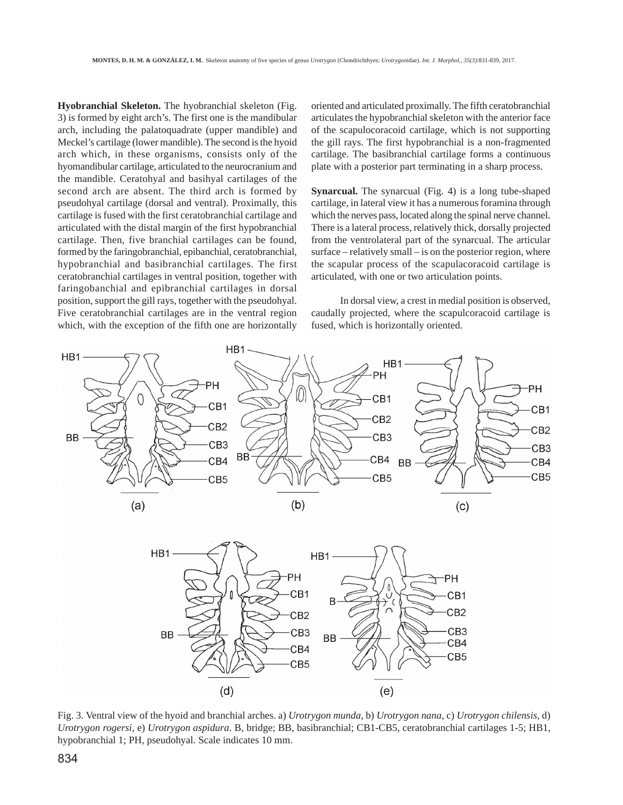**Hyobranchial Skeleton.** The hyobranchial skeleton (Fig. 3) is formed by eight arch's. The first one is the mandibular arch, including the palatoquadrate (upper mandible) and Meckel's cartilage (lower mandible). The second is the hyoid arch which, in these organisms, consists only of the hyomandibular cartilage, articulated to the neurocranium and the mandible. Ceratohyal and basihyal cartilages of the second arch are absent. The third arch is formed by pseudohyal cartilage (dorsal and ventral). Proximally, this cartilage is fused with the first ceratobranchial cartilage and articulated with the distal margin of the first hypobranchial cartilage. Then, five branchial cartilages can be found, formed by the faringobranchial, epibanchial, ceratobranchial, hypobranchial and basibranchial cartilages. The first ceratobranchial cartilages in ventral position, together with faringobanchial and epibranchial cartilages in dorsal position, support the gill rays, together with the pseudohyal. Five ceratobranchial cartilages are in the ventral region which, with the exception of the fifth one are horizontally oriented and articulated proximally. The fifth ceratobranchial articulates the hypobranchial skeleton with the anterior face of the scapulocoracoid cartilage, which is not supporting the gill rays. The first hypobranchial is a non-fragmented cartilage. The basibranchial cartilage forms a continuous plate with a posterior part terminating in a sharp process.

**Synarcual.** The synarcual (Fig. 4) is a long tube-shaped cartilage, in lateral view it has a numerous foramina through which the nerves pass, located along the spinal nerve channel. There is a lateral process, relatively thick, dorsally projected from the ventrolateral part of the synarcual. The articular surface – relatively small – is on the posterior region, where the scapular process of the scapulacoracoid cartilage is articulated, with one or two articulation points.

In dorsal view, a crest in medial position is observed, caudally projected, where the scapulcoracoid cartilage is fused, which is horizontally oriented.

![](_page_3_Figure_5.jpeg)

Fig. 3. Ventral view of the hyoid and branchial arches. a) *Urotrygon munda*, b) *Urotrygon nana*, c) *Urotrygon chilensis*, d) *Urotrygon rogersi*, e) *Urotrygon aspidura*. B, bridge; BB, basibranchial; CB1-CB5, ceratobranchial cartilages 1-5; HB1, hypobranchial 1; PH, pseudohyal. Scale indicates 10 mm.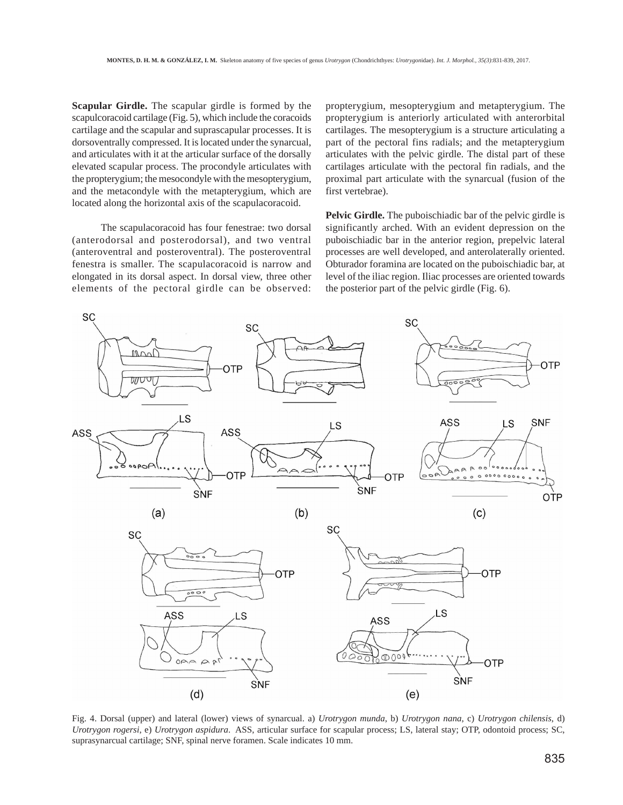**Scapular Girdle.** The scapular girdle is formed by the scapulcoracoid cartilage (Fig. 5), which include the coracoids cartilage and the scapular and suprascapular processes. It is dorsoventrally compressed. It is located under the synarcual, and articulates with it at the articular surface of the dorsally elevated scapular process. The procondyle articulates with the propterygium; the mesocondyle with the mesopterygium, and the metacondyle with the metapterygium, which are located along the horizontal axis of the scapulacoracoid.

The scapulacoracoid has four fenestrae: two dorsal (anterodorsal and posterodorsal), and two ventral (anteroventral and posteroventral). The posteroventral fenestra is smaller. The scapulacoracoid is narrow and elongated in its dorsal aspect. In dorsal view, three other elements of the pectoral girdle can be observed:

propterygium, mesopterygium and metapterygium. The propterygium is anteriorly articulated with anterorbital cartilages. The mesopterygium is a structure articulating a part of the pectoral fins radials; and the metapterygium articulates with the pelvic girdle. The distal part of these cartilages articulate with the pectoral fin radials, and the proximal part articulate with the synarcual (fusion of the first vertebrae).

**Pelvic Girdle.** The puboischiadic bar of the pelvic girdle is significantly arched. With an evident depression on the puboischiadic bar in the anterior region, prepelvic lateral processes are well developed, and anterolaterally oriented. Obturador foramina are located on the puboischiadic bar, at level of the iliac region. Iliac processes are oriented towards the posterior part of the pelvic girdle (Fig. 6).

![](_page_4_Figure_5.jpeg)

Fig. 4. Dorsal (upper) and lateral (lower) views of synarcual. a) *Urotrygon munda*, b) *Urotrygon nana*, c) *Urotrygon chilensis*, d) *Urotrygon rogersi*, e) *Urotrygon aspidura*. ASS, articular surface for scapular process; LS, lateral stay; OTP, odontoid process; SC, suprasynarcual cartilage; SNF, spinal nerve foramen. Scale indicates 10 mm.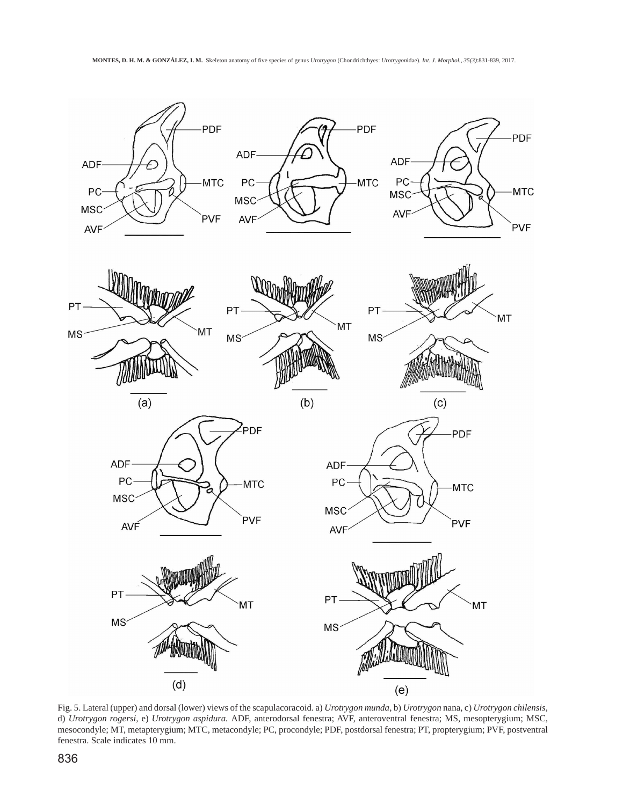![](_page_5_Figure_1.jpeg)

Fig. 5. Lateral (upper) and dorsal (lower) views of the scapulacoracoid. a) *Urotrygon munda*, b) *Urotrygon* nana, c) *Urotrygon chilensis*, d) *Urotrygon rogersi,* e) *Urotrygon aspidura.* ADF, anterodorsal fenestra; AVF, anteroventral fenestra; MS, mesopterygium; MSC, mesocondyle; MT, metapterygium; MTC, metacondyle; PC, procondyle; PDF, postdorsal fenestra; PT, propterygium; PVF, postventral fenestra. Scale indicates 10 mm.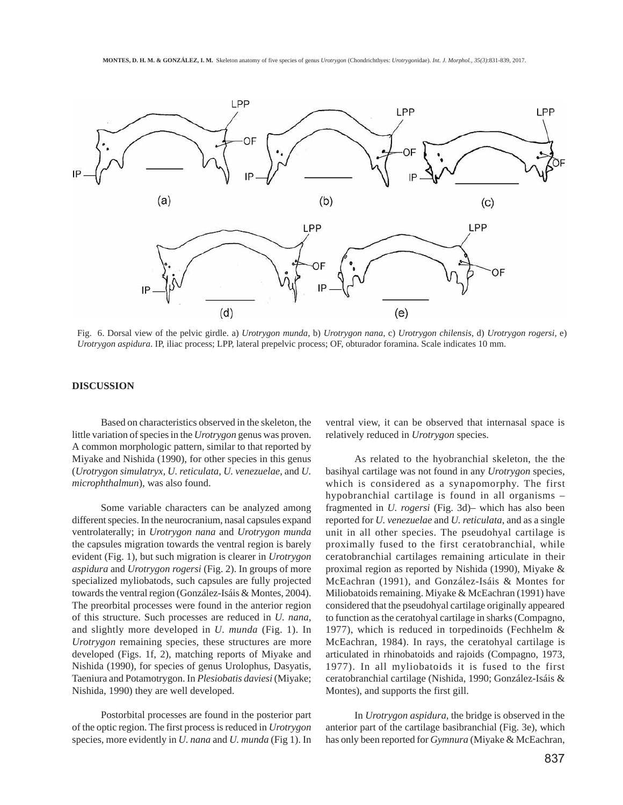![](_page_6_Figure_1.jpeg)

Fig. 6. Dorsal view of the pelvic girdle. a) *Urotrygon munda*, b) *Urotrygon nana*, c) *Urotrygon chilensis*, d) *Urotrygon rogersi,* e) *Urotrygon aspidura*. IP, iliac process; LPP, lateral prepelvic process; OF, obturador foramina. Scale indicates 10 mm.

## **DISCUSSION**

Based on characteristics observed in the skeleton, the little variation of species in the *Urotrygon* genus was proven. A common morphologic pattern, similar to that reported by Miyake and Nishida (1990), for other species in this genus (*Urotrygon simulatryx, U. reticulata, U. venezuelae*, and *U. microphthalmun*), was also found.

Some variable characters can be analyzed among different species. In the neurocranium, nasal capsules expand ventrolaterally; in *Urotrygon nana* and *Urotrygon munda* the capsules migration towards the ventral region is barely evident (Fig. 1), but such migration is clearer in *Urotrygon aspidura* and *Urotrygon rogersi* (Fig. 2). In groups of more specialized myliobatods, such capsules are fully projected towards the ventral region (González-Isáis & Montes, 2004). The preorbital processes were found in the anterior region of this structure. Such processes are reduced in *U. nana*, and slightly more developed in *U. munda* (Fig. 1). In *Urotrygon* remaining species, these structures are more developed (Figs. 1f, 2), matching reports of Miyake and Nishida (1990), for species of genus Urolophus, Dasyatis, Taeniura and Potamotrygon. In *Plesiobatis daviesi* (Miyake; Nishida, 1990) they are well developed.

Postorbital processes are found in the posterior part of the optic region. The first process is reduced in *Urotrygon* species, more evidently in *U. nana* and *U. munda* (Fig 1). In

ventral view, it can be observed that internasal space is relatively reduced in *Urotrygon* species.

As related to the hyobranchial skeleton, the the basihyal cartilage was not found in any *Urotrygon* species, which is considered as a synapomorphy. The first hypobranchial cartilage is found in all organisms – fragmented in *U. rogersi* (Fig. 3d)– which has also been reported for *U. venezuelae* and *U. reticulata*, and as a single unit in all other species. The pseudohyal cartilage is proximally fused to the first ceratobranchial, while ceratobranchial cartilages remaining articulate in their proximal region as reported by Nishida (1990), Miyake & McEachran (1991), and González-Isáis & Montes for Miliobatoids remaining. Miyake & McEachran (1991) have considered that the pseudohyal cartilage originally appeared to function as the ceratohyal cartilage in sharks (Compagno, 1977), which is reduced in torpedinoids (Fechhelm & McEachran, 1984). In rays, the ceratohyal cartilage is articulated in rhinobatoids and rajoids (Compagno, 1973, 1977). In all myliobatoids it is fused to the first ceratobranchial cartilage (Nishida, 1990; González-Isáis & Montes), and supports the first gill.

In *Urotrygon aspidura*, the bridge is observed in the anterior part of the cartilage basibranchial (Fig. 3e), which has only been reported for *Gymnura* (Miyake & McEachran,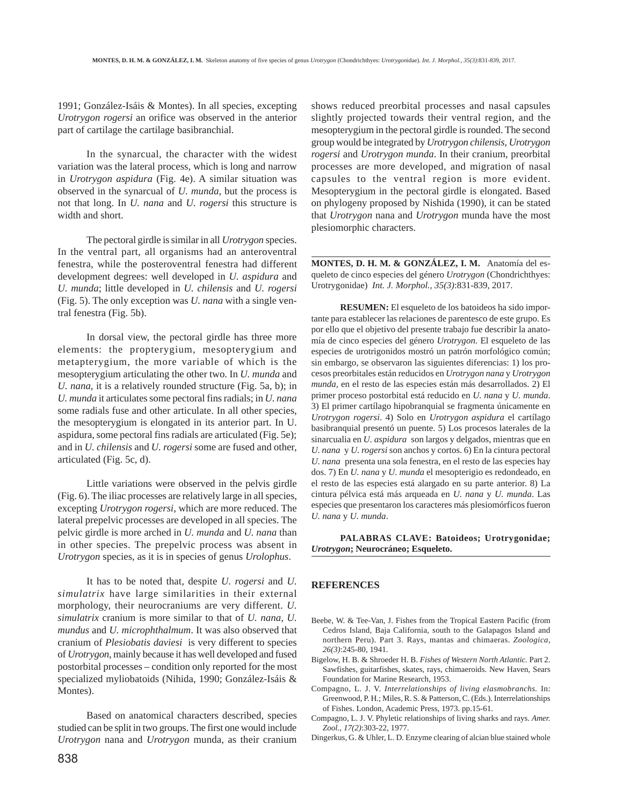1991; González-Isáis & Montes). In all species, excepting *Urotrygon rogersi* an orifice was observed in the anterior part of cartilage the cartilage basibranchial.

In the synarcual, the character with the widest variation was the lateral process, which is long and narrow in *Urotrygon aspidura* (Fig. 4e). A similar situation was observed in the synarcual of *U. munda*, but the process is not that long. In *U. nana* and *U. rogersi* this structure is width and short.

The pectoral girdle is similar in all *Urotrygon* species. In the ventral part, all organisms had an anteroventral fenestra, while the posteroventral fenestra had different development degrees: well developed in *U. aspidura* and *U. munda*; little developed in *U. chilensis* and *U. rogersi* (Fig. 5). The only exception was *U. nana* with a single ventral fenestra (Fig. 5b).

In dorsal view, the pectoral girdle has three more elements: the propterygium, mesopterygium and metapterygium, the more variable of which is the mesopterygium articulating the other two. In *U. munda* and *U. nana*, it is a relatively rounded structure (Fig. 5a, b); in *U. munda* it articulates some pectoral fins radials; in *U. nana* some radials fuse and other articulate. In all other species, the mesopterygium is elongated in its anterior part. In U. aspidura, some pectoral fins radials are articulated (Fig. 5e); and in *U. chilensis* and *U. rogersi* some are fused and other, articulated (Fig. 5c, d).

Little variations were observed in the pelvis girdle (Fig. 6). The iliac processes are relatively large in all species, excepting *Urotrygon rogersi*, which are more reduced. The lateral prepelvic processes are developed in all species. The pelvic girdle is more arched in *U. munda* and *U. nana* than in other species. The prepelvic process was absent in *Urotrygon* species, as it is in species of genus *Urolophus*.

It has to be noted that, despite *U. rogersi* and *U. simulatrix* have large similarities in their external morphology, their neurocraniums are very different. *U. simulatrix* cranium is more similar to that of *U. nana, U. mundus* and *U. microphthalmum*. It was also observed that cranium of *Plesiobatis daviesi* is very different to species of *Urotrygon*, mainly because it has well developed and fused postorbital processes – condition only reported for the most specialized myliobatoids (Nihida, 1990; González-Isáis & Montes).

Based on anatomical characters described, species studied can be split in two groups. The first one would include *Urotrygon* nana and *Urotrygon* munda, as their cranium shows reduced preorbital processes and nasal capsules slightly projected towards their ventral region, and the mesopterygium in the pectoral girdle is rounded. The second group would be integrated by *Urotrygon chilensis, Urotrygon rogersi* and *Urotrygon munda*. In their cranium, preorbital processes are more developed, and migration of nasal capsules to the ventral region is more evident. Mesopterygium in the pectoral girdle is elongated. Based on phylogeny proposed by Nishida (1990), it can be stated that *Urotrygon* nana and *Urotrygon* munda have the most plesiomorphic characters.

**MONTES, D. H. M. & GONZÁLEZ, I. M.** Anatomía del esqueleto de cinco especies del género *Urotrygon* (Chondrichthyes: Urotrygonidae) *Int. J. Morphol., 35(3)*:831-839, 2017.

**RESUMEN:** El esqueleto de los batoideos ha sido importante para establecer las relaciones de parentesco de este grupo. Es por ello que el objetivo del presente trabajo fue describir la anatomía de cinco especies del género *Urotrygon*. El esqueleto de las especies de urotrigonidos mostró un patrón morfológico común; sin embargo, se observaron las siguientes diferencias: 1) los procesos preorbitales están reducidos en *Urotrygon nana* y *Urotrygon munda,* en el resto de las especies están más desarrollados. 2) El primer proceso postorbital está reducido en *U. nana* y *U. munda*. 3) El primer cartílago hipobranquial se fragmenta únicamente en *Urotrygon rogersi*. 4) Solo en *Urotrygon aspidura* el cartílago basibranquial presentó un puente. 5) Los procesos laterales de la sinarcualia en *U. aspidura* son largos y delgados, mientras que en *U. nana* y *U. rogersi* son anchos y cortos. 6) En la cintura pectoral *U. nana* presenta una sola fenestra, en el resto de las especies hay dos. 7) En *U. nana* y *U. munda* el mesopterigio es redondeado, en el resto de las especies está alargado en su parte anterior. 8) La cintura pélvica está más arqueada en *U. nana* y *U. munda*. Las especies que presentaron los caracteres más plesiomórficos fueron *U. nana* y *U. munda*.

## **PALABRAS CLAVE: Batoideos; Urotrygonidae;** *Urotrygon***; Neurocráneo; Esqueleto.**

#### **REFERENCES**

- Beebe, W. & Tee-Van, J. Fishes from the Tropical Eastern Pacific (from Cedros Island, Baja California, south to the Galapagos Island and northern Peru). Part 3. Rays, mantas and chimaeras. *Zoologica, 26(3)*:245-80, 1941.
- Bigelow, H. B. & Shroeder H. B. *Fishes of Western North Atlantic.* Part 2. Sawfishes, guitarfishes, skates, rays, chimaeroids. New Haven, Sears Foundation for Marine Research, 1953.
- Compagno, L. J. V. *Interrelationships of living elasmobranchs.* In: Greenwood, P. H.; Miles, R. S. & Patterson, C. (Eds.). Interrelationships of Fishes. London, Academic Press, 1973. pp.15-61.
- Compagno, L. J. V. Phyletic relationships of living sharks and rays. *Amer. Zool., 17(2)*:303-22, 1977.
- Dingerkus, G. & Uhler, L. D. Enzyme clearing of alcian blue stained whole